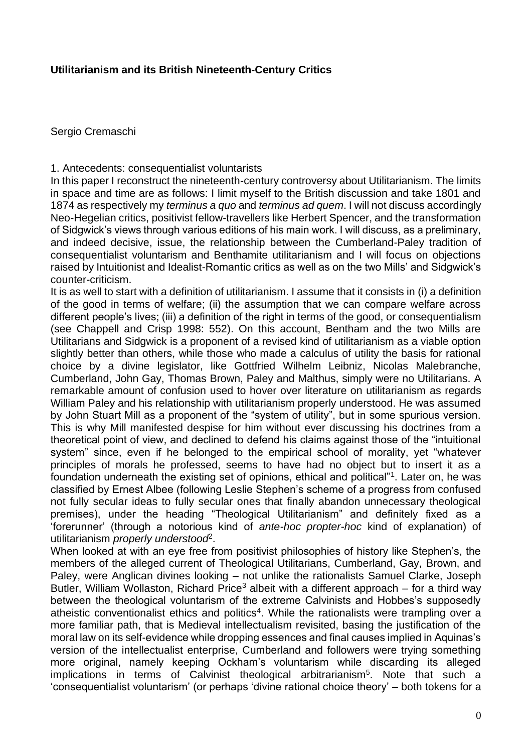# **Utilitarianism and its British Nineteenth-Century Critics**

Sergio Cremaschi

1. Antecedents: consequentialist voluntarists

In this paper I reconstruct the nineteenth-century controversy about Utilitarianism. The limits in space and time are as follows: I limit myself to the British discussion and take 1801 and 1874 as respectively my *terminus a quo* and *terminus ad quem*. I will not discuss accordingly Neo-Hegelian critics, positivist fellow-travellers like Herbert Spencer, and the transformation of Sidgwick's views through various editions of his main work. I will discuss, as a preliminary, and indeed decisive, issue, the relationship between the Cumberland-Paley tradition of consequentialist voluntarism and Benthamite utilitarianism and I will focus on objections raised by Intuitionist and Idealist-Romantic critics as well as on the two Mills' and Sidgwick's counter-criticism.

It is as well to start with a definition of utilitarianism. I assume that it consists in (i) a definition of the good in terms of welfare; (ii) the assumption that we can compare welfare across different people's lives; (iii) a definition of the right in terms of the good, or consequentialism (see Chappell and Crisp 1998: 552). On this account, Bentham and the two Mills are Utilitarians and Sidgwick is a proponent of a revised kind of utilitarianism as a viable option slightly better than others, while those who made a calculus of utility the basis for rational choice by a divine legislator, like Gottfried Wilhelm Leibniz, Nicolas Malebranche, Cumberland, John Gay, Thomas Brown, Paley and Malthus, simply were no Utilitarians. A remarkable amount of confusion used to hover over literature on utilitarianism as regards William Paley and his relationship with utilitarianism properly understood. He was assumed by John Stuart Mill as a proponent of the "system of utility", but in some spurious version. This is why Mill manifested despise for him without ever discussing his doctrines from a theoretical point of view, and declined to defend his claims against those of the "intuitional system" since, even if he belonged to the empirical school of morality, yet "whatever principles of morals he professed, seems to have had no object but to insert it as a foundation underneath the existing set of opinions, ethical and political"<sup>1</sup>. Later on, he was classified by Ernest Albee (following Leslie Stephen's scheme of a progress from confused not fully secular ideas to fully secular ones that finally abandon unnecessary theological premises), under the heading "Theological Utilitarianism" and definitely fixed as a 'forerunner' (through a notorious kind of *ante-hoc propter-hoc* kind of explanation) of utilitarianism *properly understood*<sup>2</sup> .

When looked at with an eye free from positivist philosophies of history like Stephen's, the members of the alleged current of Theological Utilitarians, Cumberland, Gay, Brown, and Paley, were Anglican divines looking – not unlike the rationalists Samuel Clarke, Joseph Butler, William Wollaston, Richard Price<sup>3</sup> albeit with a different approach – for a third way between the theological voluntarism of the extreme Calvinists and Hobbes's supposedly atheistic conventionalist ethics and politics<sup>4</sup>. While the rationalists were trampling over a more familiar path, that is Medieval intellectualism revisited, basing the justification of the moral law on its self-evidence while dropping essences and final causes implied in Aquinas's version of the intellectualist enterprise, Cumberland and followers were trying something more original, namely keeping Ockham's voluntarism while discarding its alleged implications in terms of Calvinist theological arbitrarianism<sup>5</sup>. Note that such a 'consequentialist voluntarism' (or perhaps 'divine rational choice theory' – both tokens for a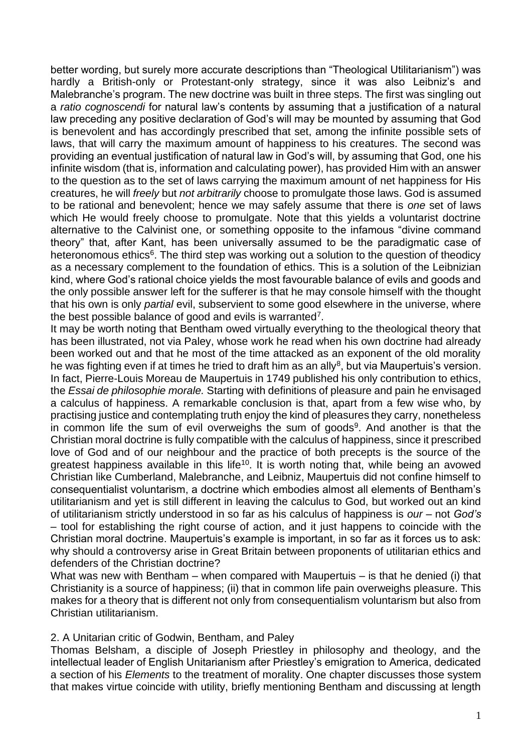better wording, but surely more accurate descriptions than "Theological Utilitarianism") was hardly a British-only or Protestant-only strategy, since it was also Leibniz's and Malebranche's program. The new doctrine was built in three steps. The first was singling out a *ratio cognoscendi* for natural law's contents by assuming that a justification of a natural law preceding any positive declaration of God's will may be mounted by assuming that God is benevolent and has accordingly prescribed that set, among the infinite possible sets of laws, that will carry the maximum amount of happiness to his creatures. The second was providing an eventual justification of natural law in God's will, by assuming that God, one his infinite wisdom (that is, information and calculating power), has provided Him with an answer to the question as to the set of laws carrying the maximum amount of net happiness for His creatures, he will *freely* but *not arbitrarily* choose to promulgate those laws. God is assumed to be rational and benevolent; hence we may safely assume that there is *one* set of laws which He would freely choose to promulgate. Note that this yields a voluntarist doctrine alternative to the Calvinist one, or something opposite to the infamous "divine command theory" that, after Kant, has been universally assumed to be the paradigmatic case of heteronomous ethics<sup>6</sup>. The third step was working out a solution to the question of theodicy as a necessary complement to the foundation of ethics. This is a solution of the Leibnizian kind, where God's rational choice yields the most favourable balance of evils and goods and the only possible answer left for the sufferer is that he may console himself with the thought that his own is only *partial* evil, subservient to some good elsewhere in the universe, where the best possible balance of good and evils is warranted<sup>7</sup>.

It may be worth noting that Bentham owed virtually everything to the theological theory that has been illustrated, not via Paley, whose work he read when his own doctrine had already been worked out and that he most of the time attacked as an exponent of the old morality he was fighting even if at times he tried to draft him as an ally<sup>8</sup>, but via Maupertuis's version. In fact, Pierre-Louis Moreau de Maupertuis in 1749 published his only contribution to ethics, the *Essai de philosophie morale.* Starting with definitions of pleasure and pain he envisaged a calculus of happiness. A remarkable conclusion is that, apart from a few wise who, by practising justice and contemplating truth enjoy the kind of pleasures they carry, nonetheless in common life the sum of evil overweighs the sum of goods<sup>9</sup>. And another is that the Christian moral doctrine is fully compatible with the calculus of happiness, since it prescribed love of God and of our neighbour and the practice of both precepts is the source of the greatest happiness available in this life<sup>10</sup>. It is worth noting that, while being an avowed Christian like Cumberland, Malebranche, and Leibniz, Maupertuis did not confine himself to consequentialist voluntarism, a doctrine which embodies almost all elements of Bentham's utilitarianism and yet is still different in leaving the calculus to God, but worked out an kind of utilitarianism strictly understood in so far as his calculus of happiness is *our* – not *God's* – tool for establishing the right course of action, and it just happens to coincide with the Christian moral doctrine. Maupertuis's example is important, in so far as it forces us to ask: why should a controversy arise in Great Britain between proponents of utilitarian ethics and defenders of the Christian doctrine?

What was new with Bentham – when compared with Maupertuis – is that he denied (i) that Christianity is a source of happiness; (ii) that in common life pain overweighs pleasure. This makes for a theory that is different not only from consequentialism voluntarism but also from Christian utilitarianism.

# 2. A Unitarian critic of Godwin, Bentham, and Paley

Thomas Belsham, a disciple of Joseph Priestley in philosophy and theology, and the intellectual leader of English Unitarianism after Priestley's emigration to America, dedicated a section of his *Elements* to the treatment of morality. One chapter discusses those system that makes virtue coincide with utility, briefly mentioning Bentham and discussing at length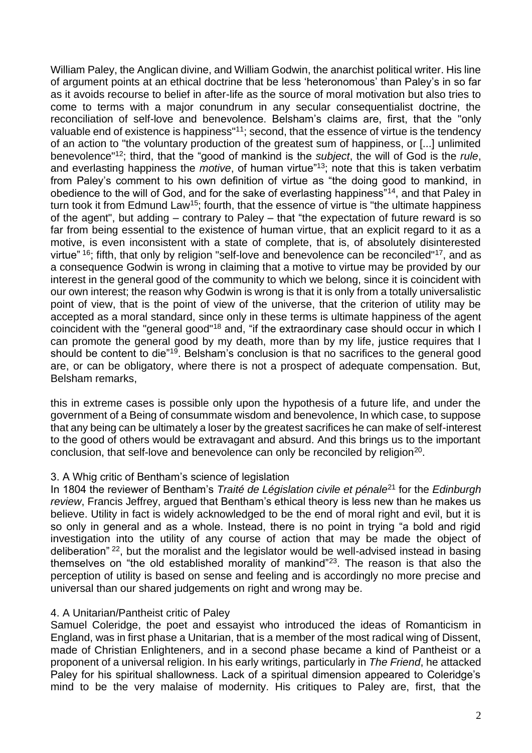William Paley, the Anglican divine, and William Godwin, the anarchist political writer. His line of argument points at an ethical doctrine that be less 'heteronomous' than Paley's in so far as it avoids recourse to belief in after-life as the source of moral motivation but also tries to come to terms with a major conundrum in any secular consequentialist doctrine, the reconciliation of self-love and benevolence. Belsham's claims are, first, that the "only valuable end of existence is happiness"<sup>11</sup>; second, that the essence of virtue is the tendency of an action to "the voluntary production of the greatest sum of happiness, or [...] unlimited benevolence"<sup>12</sup>; third, that the "good of mankind is the *subject*, the will of God is the *rule*, and everlasting happiness the *motive*, of human virtue"<sup>13</sup>; note that this is taken verbatim from Paley's comment to his own definition of virtue as "the doing good to mankind, in obedience to the will of God, and for the sake of everlasting happiness"<sup>14</sup>, and that Paley in turn took it from Edmund Law<sup>15</sup>; fourth, that the essence of virtue is "the ultimate happiness of the agent", but adding – contrary to Paley – that "the expectation of future reward is so far from being essential to the existence of human virtue, that an explicit regard to it as a motive, is even inconsistent with a state of complete, that is, of absolutely disinterested virtue" <sup>16</sup>; fifth, that only by religion "self-love and benevolence can be reconciled"<sup>17</sup>, and as a consequence Godwin is wrong in claiming that a motive to virtue may be provided by our interest in the general good of the community to which we belong, since it is coincident with our own interest; the reason why Godwin is wrong is that it is only from a totally universalistic point of view, that is the point of view of the universe, that the criterion of utility may be accepted as a moral standard, since only in these terms is ultimate happiness of the agent coincident with the "general good"<sup>18</sup> and, "if the extraordinary case should occur in which I can promote the general good by my death, more than by my life, justice requires that I should be content to die<sup>"19</sup>. Belsham's conclusion is that no sacrifices to the general good are, or can be obligatory, where there is not a prospect of adequate compensation. But, Belsham remarks,

this in extreme cases is possible only upon the hypothesis of a future life, and under the government of a Being of consummate wisdom and benevolence, In which case, to suppose that any being can be ultimately a loser by the greatest sacrifices he can make of self-interest to the good of others would be extravagant and absurd. And this brings us to the important conclusion, that self-love and benevolence can only be reconciled by religion<sup>20</sup>.

# 3. A Whig critic of Bentham's science of legislation

In 1804 the reviewer of Bentham's *Traité de Législation civile et pénale*<sup>21</sup> for the *Edinburgh review*, Francis Jeffrey, argued that Bentham's ethical theory is less new than he makes us believe. Utility in fact is widely acknowledged to be the end of moral right and evil, but it is so only in general and as a whole. Instead, there is no point in trying "a bold and rigid investigation into the utility of any course of action that may be made the object of deliberation" <sup>22</sup>, but the moralist and the legislator would be well-advised instead in basing themselves on "the old established morality of mankind"<sup>23</sup>. The reason is that also the perception of utility is based on sense and feeling and is accordingly no more precise and universal than our shared judgements on right and wrong may be.

# 4. A Unitarian/Pantheist critic of Paley

Samuel Coleridge, the poet and essayist who introduced the ideas of Romanticism in England, was in first phase a Unitarian, that is a member of the most radical wing of Dissent, made of Christian Enlighteners, and in a second phase became a kind of Pantheist or a proponent of a universal religion. In his early writings, particularly in *The Friend*, he attacked Paley for his spiritual shallowness. Lack of a spiritual dimension appeared to Coleridge's mind to be the very malaise of modernity. His critiques to Paley are, first, that the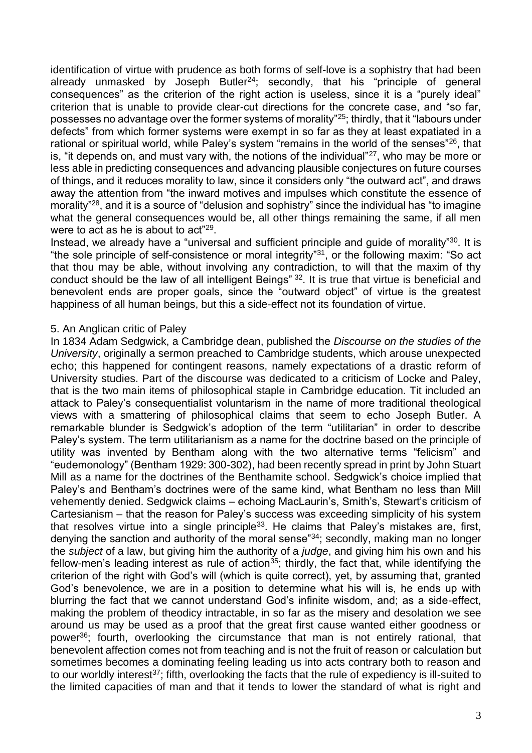identification of virtue with prudence as both forms of self-love is a sophistry that had been already unmasked by Joseph Butler<sup>24</sup>; secondly, that his "principle of general consequences" as the criterion of the right action is useless, since it is a "purely ideal" criterion that is unable to provide clear-cut directions for the concrete case, and "so far, possesses no advantage over the former systems of morality"<sup>25</sup>; thirdly, that it "labours under defects" from which former systems were exempt in so far as they at least expatiated in a rational or spiritual world, while Paley's system "remains in the world of the senses"<sup>26</sup>, that is, "it depends on, and must vary with, the notions of the individual"<sup>27</sup>, who may be more or less able in predicting consequences and advancing plausible conjectures on future courses of things, and it reduces morality to law, since it considers only "the outward act", and draws away the attention from "the inward motives and impulses which constitute the essence of morality"<sup>28</sup>, and it is a source of "delusion and sophistry" since the individual has "to imagine what the general consequences would be, all other things remaining the same, if all men were to act as he is about to act"<sup>29</sup>.

Instead, we already have a "universal and sufficient principle and guide of morality"<sup>30</sup>. It is "the sole principle of self-consistence or moral integrity"<sup>31</sup>, or the following maxim: "So act that thou may be able, without involving any contradiction, to will that the maxim of thy conduct should be the law of all intelligent Beings" <sup>32</sup>. It is true that virtue is beneficial and benevolent ends are proper goals, since the "outward object" of virtue is the greatest happiness of all human beings, but this a side-effect not its foundation of virtue.

#### 5. An Anglican critic of Paley

In 1834 Adam Sedgwick, a Cambridge dean, published the *Discourse on the studies of the University*, originally a sermon preached to Cambridge students, which arouse unexpected echo; this happened for contingent reasons, namely expectations of a drastic reform of University studies. Part of the discourse was dedicated to a criticism of Locke and Paley, that is the two main items of philosophical staple in Cambridge education. Tit included an attack to Paley's consequentialist voluntarism in the name of more traditional theological views with a smattering of philosophical claims that seem to echo Joseph Butler. A remarkable blunder is Sedgwick's adoption of the term "utilitarian" in order to describe Paley's system. The term utilitarianism as a name for the doctrine based on the principle of utility was invented by Bentham along with the two alternative terms "felicism" and "eudemonology" (Bentham 1929: 300-302), had been recently spread in print by John Stuart Mill as a name for the doctrines of the Benthamite school. Sedgwick's choice implied that Paley's and Bentham's doctrines were of the same kind, what Bentham no less than Mill vehemently denied. Sedgwick claims – echoing MacLaurin's, Smith's, Stewart's criticism of Cartesianism – that the reason for Paley's success was exceeding simplicity of his system that resolves virtue into a single principle<sup>33</sup>. He claims that Paley's mistakes are, first, denying the sanction and authority of the moral sense"<sup>34</sup>; secondly, making man no longer the *subject* of a law, but giving him the authority of a *judge*, and giving him his own and his fellow-men's leading interest as rule of action<sup>35</sup>; thirdly, the fact that, while identifying the criterion of the right with God's will (which is quite correct), yet, by assuming that, granted God's benevolence, we are in a position to determine what his will is, he ends up with blurring the fact that we cannot understand God's infinite wisdom, and; as a side-effect, making the problem of theodicy intractable, in so far as the misery and desolation we see around us may be used as a proof that the great first cause wanted either goodness or power<sup>36</sup>; fourth, overlooking the circumstance that man is not entirely rational, that benevolent affection comes not from teaching and is not the fruit of reason or calculation but sometimes becomes a dominating feeling leading us into acts contrary both to reason and to our worldly interest<sup>37</sup>; fifth, overlooking the facts that the rule of expediency is ill-suited to the limited capacities of man and that it tends to lower the standard of what is right and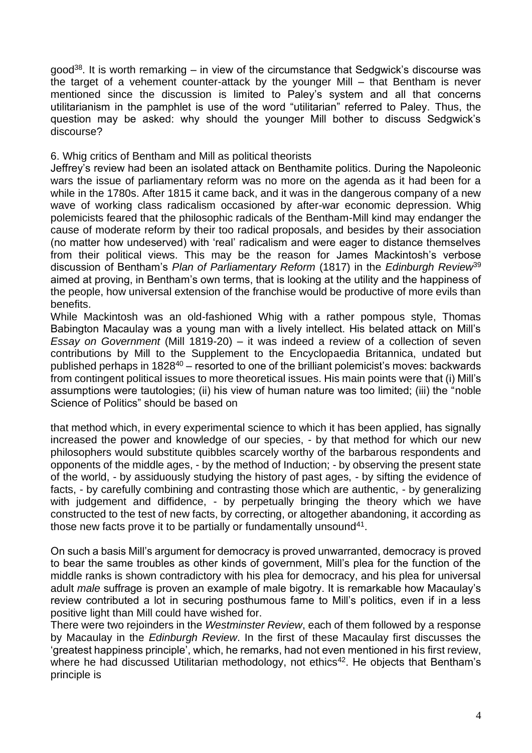good<sup>38</sup>. It is worth remarking – in view of the circumstance that Sedgwick's discourse was the target of a vehement counter-attack by the younger Mill – that Bentham is never mentioned since the discussion is limited to Paley's system and all that concerns utilitarianism in the pamphlet is use of the word "utilitarian" referred to Paley. Thus, the question may be asked: why should the younger Mill bother to discuss Sedgwick's discourse?

6. Whig critics of Bentham and Mill as political theorists

Jeffrey's review had been an isolated attack on Benthamite politics. During the Napoleonic wars the issue of parliamentary reform was no more on the agenda as it had been for a while in the 1780s. After 1815 it came back, and it was in the dangerous company of a new wave of working class radicalism occasioned by after-war economic depression. Whig polemicists feared that the philosophic radicals of the Bentham-Mill kind may endanger the cause of moderate reform by their too radical proposals, and besides by their association (no matter how undeserved) with 'real' radicalism and were eager to distance themselves from their political views. This may be the reason for James Mackintosh's verbose discussion of Bentham's *Plan of Parliamentary Reform* (1817) in the *Edinburgh Review*<sup>39</sup> aimed at proving, in Bentham's own terms, that is looking at the utility and the happiness of the people, how universal extension of the franchise would be productive of more evils than benefits.

While Mackintosh was an old-fashioned Whig with a rather pompous style, Thomas Babington Macaulay was a young man with a lively intellect. His belated attack on Mill's *Essay on Government* (Mill 1819-20) – it was indeed a review of a collection of seven contributions by Mill to the Supplement to the Encyclopaedia Britannica, undated but published perhaps in  $1828^{40}$  – resorted to one of the brilliant polemicist's moves: backwards from contingent political issues to more theoretical issues. His main points were that (i) Mill's assumptions were tautologies; (ii) his view of human nature was too limited; (iii) the "noble Science of Politics" should be based on

that method which, in every experimental science to which it has been applied, has signally increased the power and knowledge of our species, - by that method for which our new philosophers would substitute quibbles scarcely worthy of the barbarous respondents and opponents of the middle ages, - by the method of Induction; - by observing the present state of the world, - by assiduously studying the history of past ages, - by sifting the evidence of facts, - by carefully combining and contrasting those which are authentic, - by generalizing with judgement and diffidence, - by perpetually bringing the theory which we have constructed to the test of new facts, by correcting, or altogether abandoning, it according as those new facts prove it to be partially or fundamentally unsound<sup>41</sup>.

On such a basis Mill's argument for democracy is proved unwarranted, democracy is proved to bear the same troubles as other kinds of government, Mill's plea for the function of the middle ranks is shown contradictory with his plea for democracy, and his plea for universal adult *male* suffrage is proven an example of male bigotry. It is remarkable how Macaulay's review contributed a lot in securing posthumous fame to Mill's politics, even if in a less positive light than Mill could have wished for.

There were two rejoinders in the *Westminster Review*, each of them followed by a response by Macaulay in the *Edinburgh Review*. In the first of these Macaulay first discusses the 'greatest happiness principle', which, he remarks, had not even mentioned in his first review, where he had discussed Utilitarian methodology, not ethics<sup>42</sup>. He objects that Bentham's principle is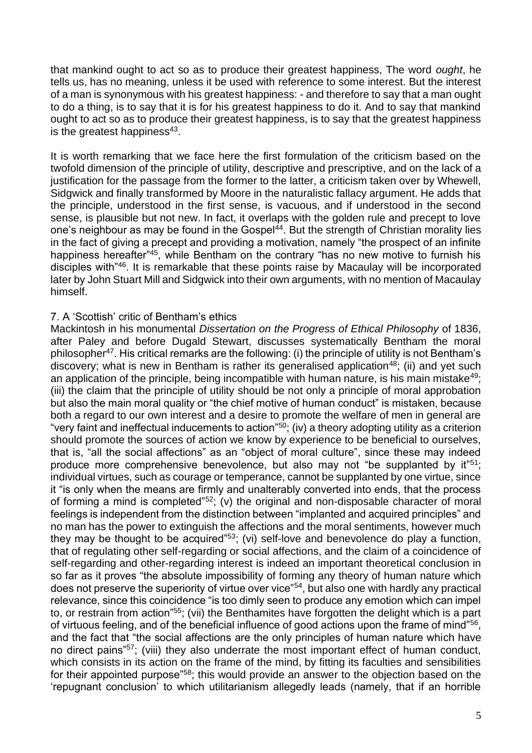that mankind ought to act so as to produce their greatest happiness, The word *ought*, he tells us, has no meaning, unless it be used with reference to some interest. But the interest of a man is synonymous with his greatest happiness: - and therefore to say that a man ought to do a thing, is to say that it is for his greatest happiness to do it. And to say that mankind ought to act so as to produce their greatest happiness, is to say that the greatest happiness is the greatest happiness<sup>43</sup>.

It is worth remarking that we face here the first formulation of the criticism based on the twofold dimension of the principle of utility, descriptive and prescriptive, and on the lack of a justification for the passage from the former to the latter, a criticism taken over by Whewell, Sidgwick and finally transformed by Moore in the naturalistic fallacy argument. He adds that the principle, understood in the first sense, is vacuous, and if understood in the second sense, is plausible but not new. In fact, it overlaps with the golden rule and precept to love one's neighbour as may be found in the Gospel<sup>44</sup>. But the strength of Christian morality lies in the fact of giving a precept and providing a motivation, namely "the prospect of an infinite happiness hereafter"<sup>45</sup>, while Bentham on the contrary "has no new motive to furnish his disciples with"<sup>46</sup>. It is remarkable that these points raise by Macaulay will be incorporated later by John Stuart Mill and Sidgwick into their own arguments, with no mention of Macaulay himself.

# 7. A 'Scottish' critic of Bentham's ethics

Mackintosh in his monumental *Dissertation on the Progress of Ethical Philosophy* of 1836, after Paley and before Dugald Stewart, discusses systematically Bentham the moral philosopher<sup>47</sup>. His critical remarks are the following: (i) the principle of utility is not Bentham's discovery; what is new in Bentham is rather its generalised application<sup>48</sup>; (ii) and yet such an application of the principle, being incompatible with human nature, is his main mistake<sup>49</sup>; (iii) the claim that the principle of utility should be not only a principle of moral approbation but also the main moral quality or "the chief motive of human conduct" is mistaken, because both a regard to our own interest and a desire to promote the welfare of men in general are "very faint and ineffectual inducements to action"<sup>50</sup>; (iv) a theory adopting utility as a criterion should promote the sources of action we know by experience to be beneficial to ourselves, that is, "all the social affections" as an "object of moral culture", since these may indeed produce more comprehensive benevolence, but also may not "be supplanted by  $it"51$ ; individual virtues, such as courage or temperance, cannot be supplanted by one virtue, since it "is only when the means are firmly and unalterably converted into ends, that the process of forming a mind is completed" $52$ ; (v) the original and non-disposable character of moral feelings is independent from the distinction between "implanted and acquired principles" and no man has the power to extinguish the affections and the moral sentiments, however much they may be thought to be acquired"<sup>53</sup>; (vi) self-love and benevolence do play a function, that of regulating other self-regarding or social affections, and the claim of a coincidence of self-regarding and other-regarding interest is indeed an important theoretical conclusion in so far as it proves "the absolute impossibility of forming any theory of human nature which does not preserve the superiority of virtue over vice"<sup>54</sup>, but also one with hardly any practical relevance, since this coincidence "is too dimly seen to produce any emotion which can impel to, or restrain from action"<sup>55</sup>; (vii) the Benthamites have forgotten the delight which is a part of virtuous feeling, and of the beneficial influence of good actions upon the frame of mind"<sup>56</sup>, and the fact that "the social affections are the only principles of human nature which have no direct pains"<sup>57</sup>; (viii) they also underrate the most important effect of human conduct, which consists in its action on the frame of the mind, by fitting its faculties and sensibilities for their appointed purpose<sup>"58</sup>; this would provide an answer to the objection based on the 'repugnant conclusion' to which utilitarianism allegedly leads (namely, that if an horrible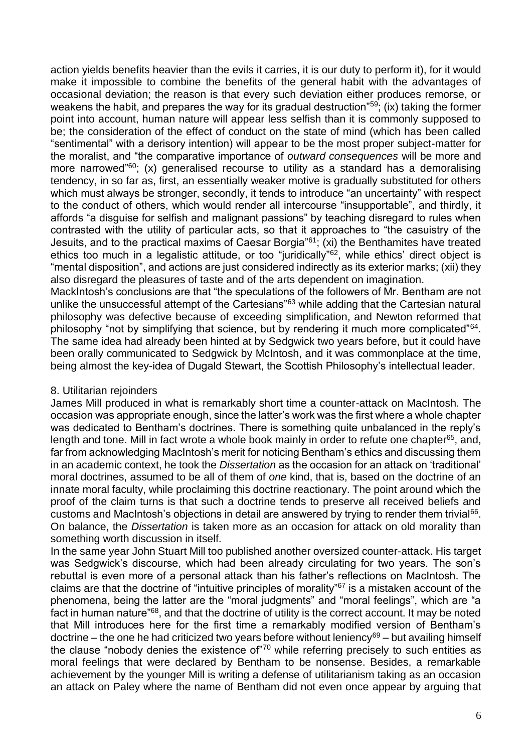action yields benefits heavier than the evils it carries, it is our duty to perform it), for it would make it impossible to combine the benefits of the general habit with the advantages of occasional deviation; the reason is that every such deviation either produces remorse, or weakens the habit, and prepares the way for its gradual destruction"<sup>59</sup>; (ix) taking the former point into account, human nature will appear less selfish than it is commonly supposed to be; the consideration of the effect of conduct on the state of mind (which has been called "sentimental" with a derisory intention) will appear to be the most proper subject-matter for the moralist, and "the comparative importance of *outward consequences* will be more and more narrowed<sup>"60</sup>; (x) generalised recourse to utility as a standard has a demoralising tendency, in so far as, first, an essentially weaker motive is gradually substituted for others which must always be stronger, secondly, it tends to introduce "an uncertainty" with respect to the conduct of others, which would render all intercourse "insupportable", and thirdly, it affords "a disguise for selfish and malignant passions" by teaching disregard to rules when contrasted with the utility of particular acts, so that it approaches to "the casuistry of the Jesuits, and to the practical maxims of Caesar Borgia"<sup>61</sup>; (xi) the Benthamites have treated ethics too much in a legalistic attitude, or too "juridically"<sup>62</sup>, while ethics' direct object is "mental disposition", and actions are just considered indirectly as its exterior marks; (xii) they also disregard the pleasures of taste and of the arts dependent on imagination. MackIntosh's conclusions are that "the speculations of the followers of Mr. Bentham are not

unlike the unsuccessful attempt of the Cartesians<sup>"63</sup> while adding that the Cartesian natural philosophy was defective because of exceeding simplification, and Newton reformed that philosophy "not by simplifying that science, but by rendering it much more complicated"<sup>64</sup>. The same idea had already been hinted at by Sedgwick two years before, but it could have been orally communicated to Sedgwick by McIntosh, and it was commonplace at the time, being almost the key-idea of Dugald Stewart, the Scottish Philosophy's intellectual leader.

# 8. Utilitarian rejoinders

James Mill produced in what is remarkably short time a counter-attack on MacIntosh. The occasion was appropriate enough, since the latter's work was the first where a whole chapter was dedicated to Bentham's doctrines. There is something quite unbalanced in the reply's length and tone. Mill in fact wrote a whole book mainly in order to refute one chapter<sup>65</sup>, and, far from acknowledging MacIntosh's merit for noticing Bentham's ethics and discussing them in an academic context, he took the *Dissertation* as the occasion for an attack on 'traditional' moral doctrines, assumed to be all of them of *one* kind, that is, based on the doctrine of an innate moral faculty, while proclaiming this doctrine reactionary. The point around which the proof of the claim turns is that such a doctrine tends to preserve all received beliefs and customs and MacIntosh's objections in detail are answered by trying to render them trivial<sup>66</sup>. On balance, the *Dissertation* is taken more as an occasion for attack on old morality than something worth discussion in itself.

In the same year John Stuart Mill too published another oversized counter-attack. His target was Sedgwick's discourse, which had been already circulating for two years. The son's rebuttal is even more of a personal attack than his father's reflections on MacIntosh. The claims are that the doctrine of "intuitive principles of morality"<sup>67</sup> is a mistaken account of the phenomena, being the latter are the "moral judgments" and "moral feelings", which are "a fact in human nature<sup>"68</sup>, and that the doctrine of utility is the correct account. It may be noted that Mill introduces here for the first time a remarkably modified version of Bentham's doctrine – the one he had criticized two years before without leniency<sup>69</sup> – but availing himself the clause "nobody denies the existence of"<sup>70</sup> while referring precisely to such entities as moral feelings that were declared by Bentham to be nonsense. Besides, a remarkable achievement by the younger Mill is writing a defense of utilitarianism taking as an occasion an attack on Paley where the name of Bentham did not even once appear by arguing that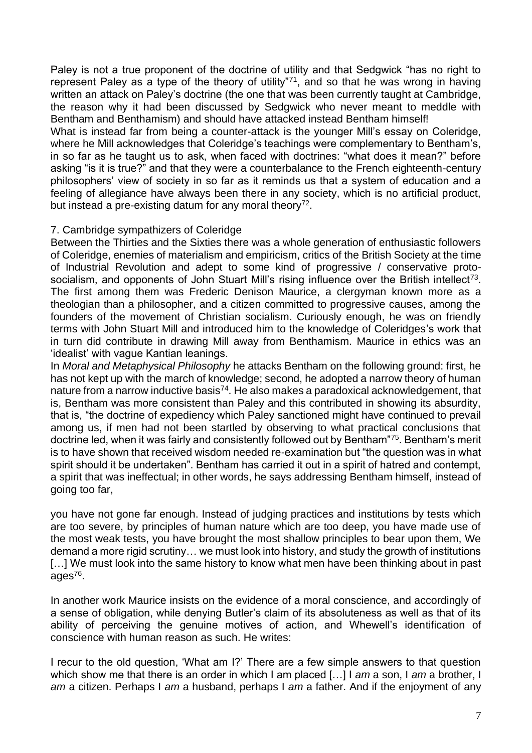Paley is not a true proponent of the doctrine of utility and that Sedgwick "has no right to represent Paley as a type of the theory of utility"<sup>71</sup>, and so that he was wrong in having written an attack on Paley's doctrine (the one that was been currently taught at Cambridge, the reason why it had been discussed by Sedgwick who never meant to meddle with Bentham and Benthamism) and should have attacked instead Bentham himself!

What is instead far from being a counter-attack is the younger Mill's essay on Coleridge, where he Mill acknowledges that Coleridge's teachings were complementary to Bentham's, in so far as he taught us to ask, when faced with doctrines: "what does it mean?" before asking "is it is true?" and that they were a counterbalance to the French eighteenth-century philosophers' view of society in so far as it reminds us that a system of education and a feeling of allegiance have always been there in any society, which is no artificial product, but instead a pre-existing datum for any moral theory<sup>72</sup>.

# 7. Cambridge sympathizers of Coleridge

Between the Thirties and the Sixties there was a whole generation of enthusiastic followers of Coleridge, enemies of materialism and empiricism, critics of the British Society at the time of Industrial Revolution and adept to some kind of progressive / conservative protosocialism, and opponents of John Stuart Mill's rising influence over the British intellect<sup>73</sup>. The first among them was Frederic Denison Maurice, a clergyman known more as a theologian than a philosopher, and a citizen committed to progressive causes, among the founders of the movement of Christian socialism. Curiously enough, he was on friendly terms with John Stuart Mill and introduced him to the knowledge of Coleridges's work that in turn did contribute in drawing Mill away from Benthamism. Maurice in ethics was an 'idealist' with vague Kantian leanings.

In *Moral and Metaphysical Philosophy* he attacks Bentham on the following ground: first, he has not kept up with the march of knowledge; second, he adopted a narrow theory of human nature from a narrow inductive basis<sup>74</sup>. He also makes a paradoxical acknowledgement, that is, Bentham was more consistent than Paley and this contributed in showing its absurdity, that is, "the doctrine of expediency which Paley sanctioned might have continued to prevail among us, if men had not been startled by observing to what practical conclusions that doctrine led, when it was fairly and consistently followed out by Bentham"<sup>75</sup>. Bentham's merit is to have shown that received wisdom needed re-examination but "the question was in what spirit should it be undertaken". Bentham has carried it out in a spirit of hatred and contempt, a spirit that was ineffectual; in other words, he says addressing Bentham himself, instead of going too far,

you have not gone far enough. Instead of judging practices and institutions by tests which are too severe, by principles of human nature which are too deep, you have made use of the most weak tests, you have brought the most shallow principles to bear upon them, We demand a more rigid scrutiny… we must look into history, and study the growth of institutions [...] We must look into the same history to know what men have been thinking about in past ages<sup>76</sup>.

In another work Maurice insists on the evidence of a moral conscience, and accordingly of a sense of obligation, while denying Butler's claim of its absoluteness as well as that of its ability of perceiving the genuine motives of action, and Whewell's identification of conscience with human reason as such. He writes:

I recur to the old question, 'What am I?' There are a few simple answers to that question which show me that there is an order in which I am placed […] I *am* a son, I *am* a brother, I *am* a citizen. Perhaps I *am* a husband, perhaps I *am* a father. And if the enjoyment of any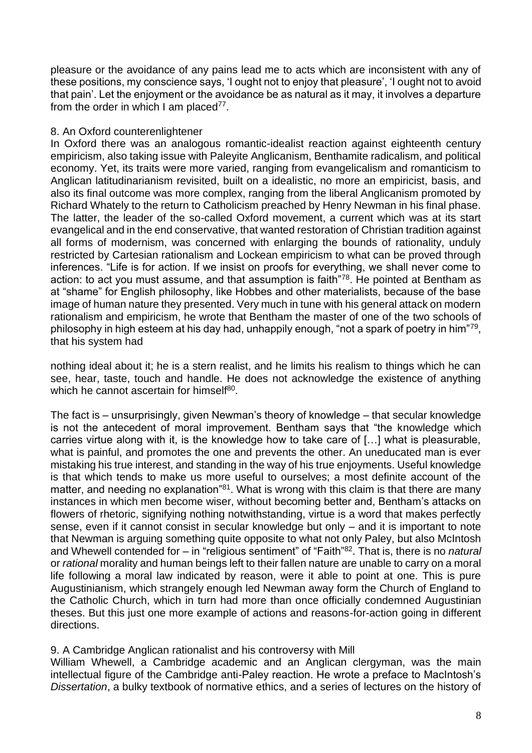pleasure or the avoidance of any pains lead me to acts which are inconsistent with any of these positions, my conscience says, 'I ought not to enjoy that pleasure', 'I ought not to avoid that pain'. Let the enjoyment or the avoidance be as natural as it may, it involves a departure from the order in which I am placed $77$ .

# 8. An Oxford counterenlightener

In Oxford there was an analogous romantic-idealist reaction against eighteenth century empiricism, also taking issue with Paleyite Anglicanism, Benthamite radicalism, and political economy. Yet, its traits were more varied, ranging from evangelicalism and romanticism to Anglican latitudinarianism revisited, built on a idealistic, no more an empiricist, basis, and also its final outcome was more complex, ranging from the liberal Anglicanism promoted by Richard Whately to the return to Catholicism preached by Henry Newman in his final phase. The latter, the leader of the so-called Oxford movement, a current which was at its start evangelical and in the end conservative, that wanted restoration of Christian tradition against all forms of modernism, was concerned with enlarging the bounds of rationality, unduly restricted by Cartesian rationalism and Lockean empiricism to what can be proved through inferences. "Life is for action. If we insist on proofs for everything, we shall never come to action: to act you must assume, and that assumption is faith"<sup>78</sup>. He pointed at Bentham as at "shame" for English philosophy, like Hobbes and other materialists, because of the base image of human nature they presented. Very much in tune with his general attack on modern rationalism and empiricism, he wrote that Bentham the master of one of the two schools of philosophy in high esteem at his day had, unhappily enough, "not a spark of poetry in him"<sup>79</sup>, that his system had

nothing ideal about it; he is a stern realist, and he limits his realism to things which he can see, hear, taste, touch and handle. He does not acknowledge the existence of anything which he cannot ascertain for himself<sup>80</sup>.

The fact is – unsurprisingly, given Newman's theory of knowledge – that secular knowledge is not the antecedent of moral improvement. Bentham says that "the knowledge which carries virtue along with it, is the knowledge how to take care of […] what is pleasurable, what is painful, and promotes the one and prevents the other. An uneducated man is ever mistaking his true interest, and standing in the way of his true enjoyments. Useful knowledge is that which tends to make us more useful to ourselves; a most definite account of the matter, and needing no explanation<sup>"81</sup>. What is wrong with this claim is that there are many instances in which men become wiser, without becoming better and, Bentham's attacks on flowers of rhetoric, signifying nothing notwithstanding, virtue is a word that makes perfectly sense, even if it cannot consist in secular knowledge but only – and it is important to note that Newman is arguing something quite opposite to what not only Paley, but also McIntosh and Whewell contended for – in "religious sentiment" of "Faith"<sup>82</sup>. That is, there is no *natural* or *rational* morality and human beings left to their fallen nature are unable to carry on a moral life following a moral law indicated by reason, were it able to point at one. This is pure Augustinianism, which strangely enough led Newman away form the Church of England to the Catholic Church, which in turn had more than once officially condemned Augustinian theses. But this just one more example of actions and reasons-for-action going in different directions.

# 9. A Cambridge Anglican rationalist and his controversy with Mill

William Whewell, a Cambridge academic and an Anglican clergyman, was the main intellectual figure of the Cambridge anti-Paley reaction. He wrote a preface to MacIntosh's *Dissertation*, a bulky textbook of normative ethics, and a series of lectures on the history of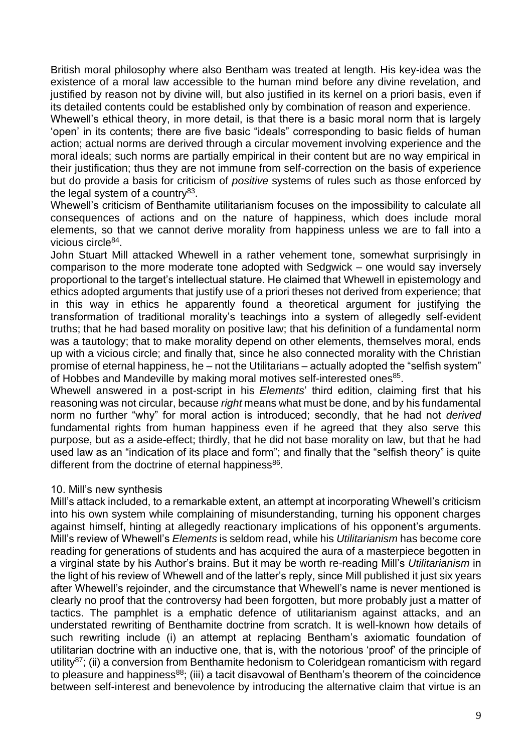British moral philosophy where also Bentham was treated at length. His key-idea was the existence of a moral law accessible to the human mind before any divine revelation, and justified by reason not by divine will, but also justified in its kernel on a priori basis, even if its detailed contents could be established only by combination of reason and experience.

Whewell's ethical theory, in more detail, is that there is a basic moral norm that is largely 'open' in its contents; there are five basic "ideals" corresponding to basic fields of human action; actual norms are derived through a circular movement involving experience and the moral ideals; such norms are partially empirical in their content but are no way empirical in their justification; thus they are not immune from self-correction on the basis of experience but do provide a basis for criticism of *positive* systems of rules such as those enforced by the legal system of a country<sup>83</sup>.

Whewell's criticism of Benthamite utilitarianism focuses on the impossibility to calculate all consequences of actions and on the nature of happiness, which does include moral elements, so that we cannot derive morality from happiness unless we are to fall into a vicious circle<sup>84</sup>.

John Stuart Mill attacked Whewell in a rather vehement tone, somewhat surprisingly in comparison to the more moderate tone adopted with Sedgwick – one would say inversely proportional to the target's intellectual stature. He claimed that Whewell in epistemology and ethics adopted arguments that justify use of a priori theses not derived from experience; that in this way in ethics he apparently found a theoretical argument for justifying the transformation of traditional morality's teachings into a system of allegedly self-evident truths; that he had based morality on positive law; that his definition of a fundamental norm was a tautology; that to make morality depend on other elements, themselves moral, ends up with a vicious circle; and finally that, since he also connected morality with the Christian promise of eternal happiness, he – not the Utilitarians – actually adopted the "selfish system" of Hobbes and Mandeville by making moral motives self-interested ones<sup>85</sup>.

Whewell answered in a post-script in his *Elements*' third edition, claiming first that his reasoning was not circular, because *right* means what must be done, and by his fundamental norm no further "why" for moral action is introduced; secondly, that he had not *derived*  fundamental rights from human happiness even if he agreed that they also serve this purpose, but as a aside-effect; thirdly, that he did not base morality on law, but that he had used law as an "indication of its place and form"; and finally that the "selfish theory" is quite different from the doctrine of eternal happiness<sup>86</sup>.

# 10. Mill's new synthesis

Mill's attack included, to a remarkable extent, an attempt at incorporating Whewell's criticism into his own system while complaining of misunderstanding, turning his opponent charges against himself, hinting at allegedly reactionary implications of his opponent's arguments. Mill's review of Whewell's *Elements* is seldom read, while his *Utilitarianism* has become core reading for generations of students and has acquired the aura of a masterpiece begotten in a virginal state by his Author's brains. But it may be worth re-reading Mill's *Utilitarianism* in the light of his review of Whewell and of the latter's reply, since Mill published it just six years after Whewell's rejoinder, and the circumstance that Whewell's name is never mentioned is clearly no proof that the controversy had been forgotten, but more probably just a matter of tactics. The pamphlet is a emphatic defence of utilitarianism against attacks, and an understated rewriting of Benthamite doctrine from scratch. It is well-known how details of such rewriting include (i) an attempt at replacing Bentham's axiomatic foundation of utilitarian doctrine with an inductive one, that is, with the notorious 'proof' of the principle of utility<sup>87</sup>; (ii) a conversion from Benthamite hedonism to Coleridgean romanticism with regard to pleasure and happiness $^{88}$ ; (iii) a tacit disavowal of Bentham's theorem of the coincidence between self-interest and benevolence by introducing the alternative claim that virtue is an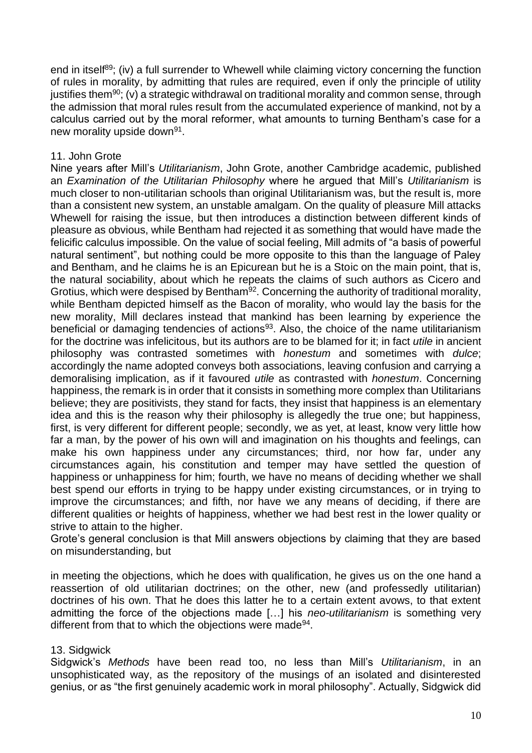end in itself<sup>89</sup>; (iv) a full surrender to Whewell while claiming victory concerning the function of rules in morality, by admitting that rules are required, even if only the principle of utility justifies them<sup>90</sup>; (v) a strategic withdrawal on traditional morality and common sense, through the admission that moral rules result from the accumulated experience of mankind, not by a calculus carried out by the moral reformer, what amounts to turning Bentham's case for a new morality upside down<sup>91</sup>.

# 11. John Grote

Nine years after Mill's *Utilitarianism*, John Grote, another Cambridge academic, published an *Examination of the Utilitarian Philosophy* where he argued that Mill's *Utilitarianism* is much closer to non-utilitarian schools than original Utilitarianism was, but the result is, more than a consistent new system, an unstable amalgam. On the quality of pleasure Mill attacks Whewell for raising the issue, but then introduces a distinction between different kinds of pleasure as obvious, while Bentham had rejected it as something that would have made the felicific calculus impossible. On the value of social feeling, Mill admits of "a basis of powerful natural sentiment", but nothing could be more opposite to this than the language of Paley and Bentham, and he claims he is an Epicurean but he is a Stoic on the main point, that is, the natural sociability, about which he repeats the claims of such authors as Cicero and Grotius, which were despised by Bentham<sup>92</sup>. Concerning the authority of traditional morality, while Bentham depicted himself as the Bacon of morality, who would lay the basis for the new morality, Mill declares instead that mankind has been learning by experience the beneficial or damaging tendencies of actions<sup>93</sup>. Also, the choice of the name utilitarianism for the doctrine was infelicitous, but its authors are to be blamed for it; in fact *utile* in ancient philosophy was contrasted sometimes with *honestum* and sometimes with *dulce*; accordingly the name adopted conveys both associations, leaving confusion and carrying a demoralising implication, as if it favoured *utile* as contrasted with *honestum*. Concerning happiness, the remark is in order that it consists in something more complex than Utilitarians believe; they are positivists, they stand for facts, they insist that happiness is an elementary idea and this is the reason why their philosophy is allegedly the true one; but happiness, first, is very different for different people; secondly, we as yet, at least, know very little how far a man, by the power of his own will and imagination on his thoughts and feelings, can make his own happiness under any circumstances; third, nor how far, under any circumstances again, his constitution and temper may have settled the question of happiness or unhappiness for him; fourth, we have no means of deciding whether we shall best spend our efforts in trying to be happy under existing circumstances, or in trying to improve the circumstances; and fifth, nor have we any means of deciding, if there are different qualities or heights of happiness, whether we had best rest in the lower quality or strive to attain to the higher.

Grote's general conclusion is that Mill answers objections by claiming that they are based on misunderstanding, but

in meeting the objections, which he does with qualification, he gives us on the one hand a reassertion of old utilitarian doctrines; on the other, new (and professedly utilitarian) doctrines of his own. That he does this latter he to a certain extent avows, to that extent admitting the force of the objections made […] his *neo-utilitarianism* is something very different from that to which the objections were made<sup>94</sup>.

# 13. Sidgwick

Sidgwick's *Methods* have been read too, no less than Mill's *Utilitarianism*, in an unsophisticated way, as the repository of the musings of an isolated and disinterested genius, or as "the first genuinely academic work in moral philosophy". Actually, Sidgwick did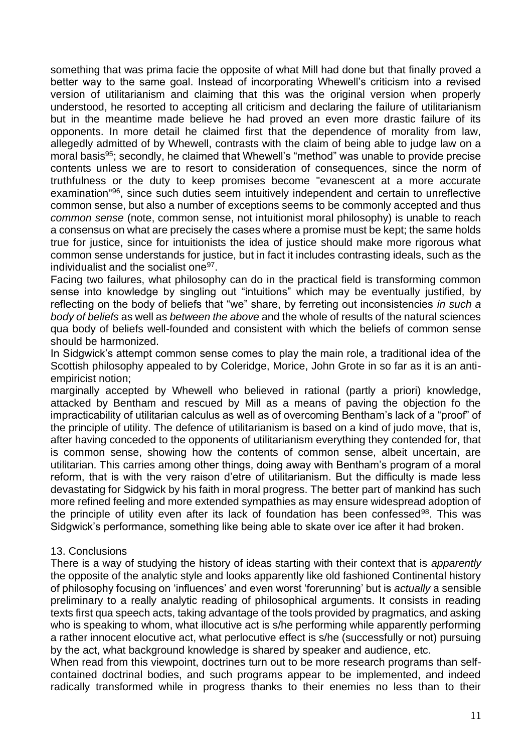something that was prima facie the opposite of what Mill had done but that finally proved a better way to the same goal. Instead of incorporating Whewell's criticism into a revised version of utilitarianism and claiming that this was the original version when properly understood, he resorted to accepting all criticism and declaring the failure of utilitarianism but in the meantime made believe he had proved an even more drastic failure of its opponents. In more detail he claimed first that the dependence of morality from law, allegedly admitted of by Whewell, contrasts with the claim of being able to judge law on a moral basis<sup>95</sup>; secondly, he claimed that Whewell's "method" was unable to provide precise contents unless we are to resort to consideration of consequences, since the norm of truthfulness or the duty to keep promises become "evanescent at a more accurate examination"<sup>96</sup>, since such duties seem intuitively independent and certain to unreflective common sense, but also a number of exceptions seems to be commonly accepted and thus *common sense* (note, common sense, not intuitionist moral philosophy) is unable to reach a consensus on what are precisely the cases where a promise must be kept; the same holds true for justice, since for intuitionists the idea of justice should make more rigorous what common sense understands for justice, but in fact it includes contrasting ideals, such as the individualist and the socialist one<sup>97</sup>.

Facing two failures, what philosophy can do in the practical field is transforming common sense into knowledge by singling out "intuitions" which may be eventually justified, by reflecting on the body of beliefs that "we" share, by ferreting out inconsistencies *in such a body of beliefs* as well as *between the above* and the whole of results of the natural sciences qua body of beliefs well-founded and consistent with which the beliefs of common sense should be harmonized.

In Sidgwick's attempt common sense comes to play the main role, a traditional idea of the Scottish philosophy appealed to by Coleridge, Morice, John Grote in so far as it is an antiempiricist notion;

marginally accepted by Whewell who believed in rational (partly a priori) knowledge, attacked by Bentham and rescued by Mill as a means of paving the objection fo the impracticability of utilitarian calculus as well as of overcoming Bentham's lack of a "proof" of the principle of utility. The defence of utilitarianism is based on a kind of judo move, that is, after having conceded to the opponents of utilitarianism everything they contended for, that is common sense, showing how the contents of common sense, albeit uncertain, are utilitarian. This carries among other things, doing away with Bentham's program of a moral reform, that is with the very raison d'etre of utilitarianism. But the difficulty is made less devastating for Sidgwick by his faith in moral progress. The better part of mankind has such more refined feeling and more extended sympathies as may ensure widespread adoption of the principle of utility even after its lack of foundation has been confessed<sup>98</sup>. This was Sidgwick's performance, something like being able to skate over ice after it had broken.

# 13. Conclusions

There is a way of studying the history of ideas starting with their context that is *apparently* the opposite of the analytic style and looks apparently like old fashioned Continental history of philosophy focusing on 'influences' and even worst 'forerunning' but is *actually* a sensible preliminary to a really analytic reading of philosophical arguments. It consists in reading texts first qua speech acts, taking advantage of the tools provided by pragmatics, and asking who is speaking to whom, what illocutive act is s/he performing while apparently performing a rather innocent elocutive act, what perlocutive effect is s/he (successfully or not) pursuing by the act, what background knowledge is shared by speaker and audience, etc.

When read from this viewpoint, doctrines turn out to be more research programs than selfcontained doctrinal bodies, and such programs appear to be implemented, and indeed radically transformed while in progress thanks to their enemies no less than to their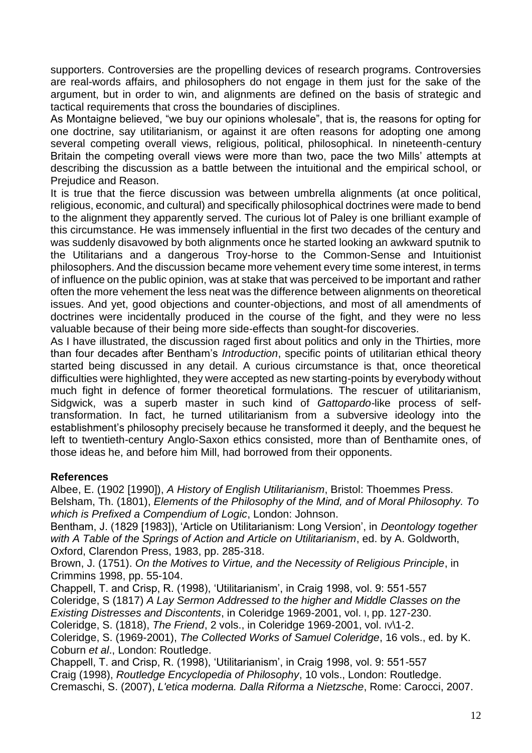supporters. Controversies are the propelling devices of research programs. Controversies are real-words affairs, and philosophers do not engage in them just for the sake of the argument, but in order to win, and alignments are defined on the basis of strategic and tactical requirements that cross the boundaries of disciplines.

As Montaigne believed, "we buy our opinions wholesale", that is, the reasons for opting for one doctrine, say utilitarianism, or against it are often reasons for adopting one among several competing overall views, religious, political, philosophical. In nineteenth-century Britain the competing overall views were more than two, pace the two Mills' attempts at describing the discussion as a battle between the intuitional and the empirical school, or Prejudice and Reason.

It is true that the fierce discussion was between umbrella alignments (at once political, religious, economic, and cultural) and specifically philosophical doctrines were made to bend to the alignment they apparently served. The curious lot of Paley is one brilliant example of this circumstance. He was immensely influential in the first two decades of the century and was suddenly disavowed by both alignments once he started looking an awkward sputnik to the Utilitarians and a dangerous Troy-horse to the Common-Sense and Intuitionist philosophers. And the discussion became more vehement every time some interest, in terms of influence on the public opinion, was at stake that was perceived to be important and rather often the more vehement the less neat was the difference between alignments on theoretical issues. And yet, good objections and counter-objections, and most of all amendments of doctrines were incidentally produced in the course of the fight, and they were no less valuable because of their being more side-effects than sought-for discoveries.

As I have illustrated, the discussion raged first about politics and only in the Thirties, more than four decades after Bentham's *Introduction*, specific points of utilitarian ethical theory started being discussed in any detail. A curious circumstance is that, once theoretical difficulties were highlighted, they were accepted as new starting-points by everybody without much fight in defence of former theoretical formulations. The rescuer of utilitarianism, Sidgwick, was a superb master in such kind of *Gattopardo-*like process of selftransformation. In fact, he turned utilitarianism from a subversive ideology into the establishment's philosophy precisely because he transformed it deeply, and the bequest he left to twentieth-century Anglo-Saxon ethics consisted, more than of Benthamite ones, of those ideas he, and before him Mill, had borrowed from their opponents.

# **References**

Albee, E. (1902 [1990]), *A History of English Utilitarianism*, Bristol: Thoemmes Press. Belsham, Th. (1801), *Elements of the Philosophy of the Mind, and of Moral Philosophy. To which is Prefixed a Compendium of Logic*, London: Johnson.

Bentham, J. (1829 [1983]), 'Article on Utilitarianism: Long Version', in *Deontology together with A Table of the Springs of Action and Article on Utilitarianism*, ed. by A. Goldworth, Oxford, Clarendon Press, 1983, pp. 285-318.

Brown, J. (1751). *On the Motives to Virtue, and the Necessity of Religious Principle*, in Crimmins 1998, pp. 55-104.

Chappell, T. and Crisp, R. (1998), 'Utilitarianism', in Craig 1998, vol. 9: 551-557 Coleridge, S (1817) *A Lay Sermon Addressed to the higher and Middle Classes on the Existing Distresses and Discontents*, in Coleridge 1969-2001, vol. I, pp. 127-230. Coleridge, S. (1818), *The Friend*, 2 vols., in Coleridge 1969-2001, vol. IV\1-2. Coleridge, S. (1969-2001), *The Collected Works of Samuel Coleridge*, 16 vols., ed. by K. Coburn *et al*., London: Routledge.

Chappell, T. and Crisp, R. (1998), 'Utilitarianism', in Craig 1998, vol. 9: 551-557 Craig (1998), *Routledge Encyclopedia of Philosophy*, 10 vols., London: Routledge. Cremaschi, S. (2007), *L'etica moderna. Dalla Riforma a Nietzsche*, Rome: Carocci, 2007.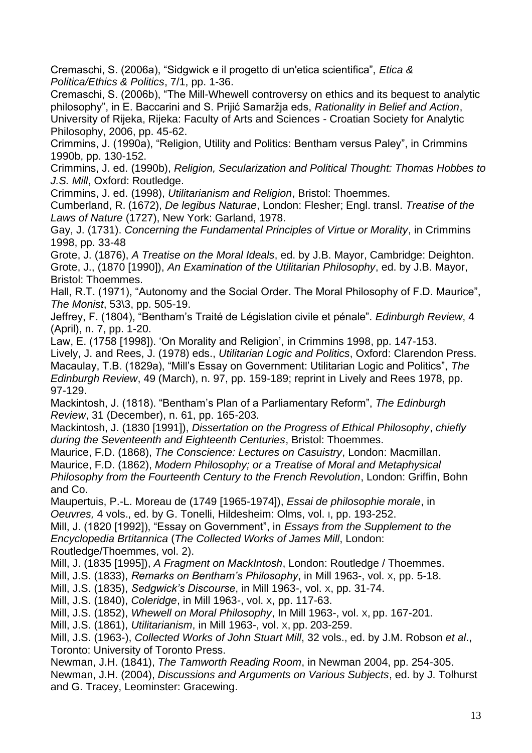Cremaschi, S. (2006a), "Sidgwick e il progetto di un'etica scientifica", *Etica & Politica/Ethics & Politics*, 7/1, pp. 1-36.

Cremaschi, S. (2006b), "The Mill-Whewell controversy on ethics and its bequest to analytic philosophy", in E. Baccarini and S. Prijić Samaržja eds, *Rationality in Belief and Action*, University of Rijeka, Rijeka: Faculty of Arts and Sciences - Croatian Society for Analytic Philosophy, 2006, pp. 45-62.

Crimmins, J. (1990a), "Religion, Utility and Politics: Bentham versus Paley", in Crimmins 1990b, pp. 130-152.

Crimmins, J. ed. (1990b), *Religion, Secularization and Political Thought: Thomas Hobbes to J.S. Mill*, Oxford: Routledge.

Crimmins, J. ed. (1998), *Utilitarianism and Religion*, Bristol: Thoemmes.

Cumberland, R. (1672), *De legibus Naturae*, London: Flesher; Engl. transl. *Treatise of the Laws of Nature* (1727), New York: Garland, 1978.

Gay, J. (1731). *Concerning the Fundamental Principles of Virtue or Morality*, in Crimmins 1998, pp. 33-48

Grote, J. (1876), *A Treatise on the Moral Ideals*, ed. by J.B. Mayor, Cambridge: Deighton. Grote, J., (1870 [1990]), *An Examination of the Utilitarian Philosophy*, ed. by J.B. Mayor, Bristol: Thoemmes.

Hall, R.T. (1971), "Autonomy and the Social Order. The Moral Philosophy of F.D. Maurice", *The Monist*, 53\3, pp. 505-19.

Jeffrey, F. (1804), "Bentham's Traité de Législation civile et pénale". *Edinburgh Review*, 4 (April), n. 7, pp. 1-20.

Law, E. (1758 [1998]). 'On Morality and Religion', in Crimmins 1998, pp. 147-153. Lively, J. and Rees, J. (1978) eds., *Utilitarian Logic and Politics*, Oxford: Clarendon Press. Macaulay, T.B. (1829a), "Mill's Essay on Government: Utilitarian Logic and Politics", *The Edinburgh Review*, 49 (March), n. 97, pp. 159-189; reprint in Lively and Rees 1978, pp. 97-129.

Mackintosh, J. (1818). "Bentham's Plan of a Parliamentary Reform", *The Edinburgh Review*, 31 (December), n. 61, pp. 165-203.

Mackintosh, J. (1830 [1991]), *Dissertation on the Progress of Ethical Philosophy*, *chiefly during the Seventeenth and Eighteenth Centuries*, Bristol: Thoemmes.

Maurice, F.D. (1868), *The Conscience: Lectures on Casuistry*, London: Macmillan. Maurice, F.D. (1862), *Modern Philosophy; or a Treatise of Moral and Metaphysical* 

*Philosophy from the Fourteenth Century to the French Revolution*, London: Griffin, Bohn and Co.

Maupertuis, P.-L. Moreau de (1749 [1965-1974]), *Essai de philosophie morale*, in *Oeuvres,* 4 vols., ed. by G. Tonelli, Hildesheim: Olms, vol. I, pp. 193-252.

Mill, J. (1820 [1992]), "Essay on Government", in *Essays from the Supplement to the Encyclopedia Brtitannica* (*The Collected Works of James Mill*, London: Routledge/Thoemmes, vol. 2).

Mill, J. (1835 [1995]), *A Fragment on MackIntosh*, London: Routledge / Thoemmes.

Mill, J.S. (1833), *Remarks on Bentham's Philosophy*, in Mill 1963-, vol. X, pp. 5-18.

Mill, J.S. (1835), *Sedgwick's Discourse*, in Mill 1963-, vol. X, pp. 31-74.

Mill, J.S. (1840), *Coleridge*, in Mill 1963-, vol. X, pp. 117-63.

Mill, J.S. (1852), *Whewell on Moral Philosophy*, In Mill 1963-, vol. X, pp. 167-201.

Mill, J.S. (1861), *Utilitarianism*, in Mill 1963-, vol. X, pp. 203-259.

Mill, J.S. (1963-), *Collected Works of John Stuart Mill*, 32 vols., ed. by J.M. Robson *et al*., Toronto: University of Toronto Press.

Newman, J.H. (1841), *The Tamworth Reading Room*, in Newman 2004, pp. 254-305. Newman, J.H. (2004), *Discussions and Arguments on Various Subjects*, ed. by J. Tolhurst and G. Tracey, Leominster: Gracewing.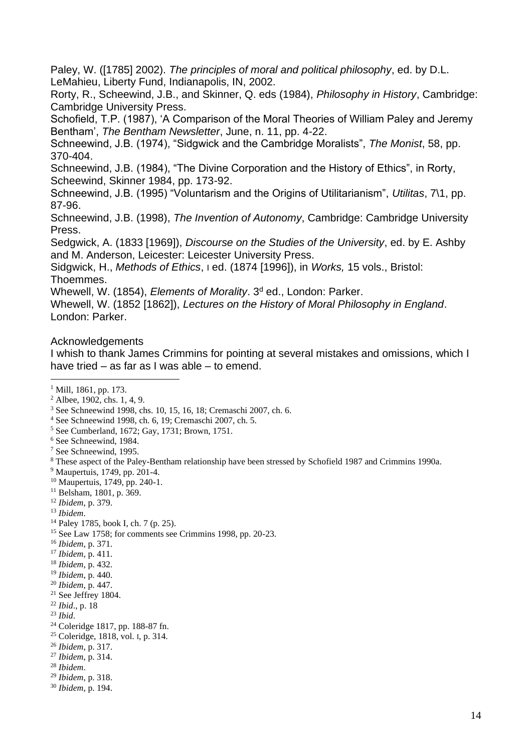Paley, W. ([1785] 2002). *The principles of moral and political philosophy*, ed. by D.L. LeMahieu, Liberty Fund, Indianapolis, IN, 2002.

Rorty, R., Scheewind, J.B., and Skinner, Q. eds (1984), *Philosophy in History*, Cambridge: Cambridge University Press.

Schofield, T.P. (1987), 'A Comparison of the Moral Theories of William Paley and Jeremy Bentham', *The Bentham Newsletter*, June, n. 11, pp. 4-22.

Schneewind, J.B. (1974), "Sidgwick and the Cambridge Moralists", *The Monist*, 58, pp. 370-404.

Schneewind, J.B. (1984), "The Divine Corporation and the History of Ethics", in Rorty, Scheewind, Skinner 1984, pp. 173-92.

Schneewind, J.B. (1995) "Voluntarism and the Origins of Utilitarianism", *Utilitas*, 7\1, pp. 87-96.

Schneewind, J.B. (1998), *The Invention of Autonomy*, Cambridge: Cambridge University Press.

Sedgwick, A. (1833 [1969]), *Discourse on the Studies of the University*, ed. by E. Ashby and M. Anderson, Leicester: Leicester University Press.

Sidgwick, H., *Methods of Ethics*, I ed. (1874 [1996]), in *Works,* 15 vols., Bristol: Thoemmes.

Whewell, W. (1854), *Elements of Morality*. 3<sup>d</sup> ed., London: Parker.

Whewell, W. (1852 [1862]), *Lectures on the History of Moral Philosophy in England*. London: Parker.

#### Acknowledgements

I whish to thank James Crimmins for pointing at several mistakes and omissions, which I have tried – as far as I was able – to emend.

- <sup>4</sup> See Schneewind 1998, ch. 6, 19; Cremaschi 2007, ch. 5.
- <sup>5</sup> See Cumberland, 1672; Gay, 1731; Brown, 1751.
- <sup>6</sup> See Schneewind, 1984.
- <sup>7</sup> See Schneewind, 1995.

- <sup>9</sup> Maupertuis, 1749, pp. 201-4.
- <sup>10</sup> Maupertuis, 1749, pp. 240-1.
- <sup>11</sup> Belsham, 1801, p. 369.
- <sup>12</sup> *Ibidem*, p. 379.
- <sup>13</sup> *Ibidem*.
- <sup>14</sup> Paley 1785, book I, ch. 7 (p. 25).
- <sup>15</sup> See Law 1758; for comments see Crimmins 1998, pp. 20-23.
- <sup>16</sup> *Ibidem*, p. 371.
- <sup>17</sup> *Ibidem*, p. 411.
- <sup>18</sup> *Ibidem*, p. 432.
- <sup>19</sup> *Ibidem*, p. 440.
- <sup>20</sup> *Ibidem*, p. 447.
- $21$  See Jeffrey 1804.
- <sup>22</sup> *Ibid*., p. 18
- <sup>23</sup> *Ibid*.
- <sup>24</sup> Coleridge 1817, pp. 188-87 fn.
- <sup>25</sup> Coleridge, 1818, vol. I, p. 314.
- <sup>26</sup> *Ibidem*, p. 317.
- <sup>27</sup> *Ibidem*, p. 314.
- <sup>28</sup> *Ibidem*.
- <sup>29</sup> *Ibidem*, p. 318.
- <sup>30</sup> *Ibidem*, p. 194.

<sup>&</sup>lt;sup>1</sup> Mill, 1861, pp. 173.

<sup>2</sup> Albee, 1902, chs. 1, 4, 9.

<sup>3</sup> See Schneewind 1998, chs. 10, 15, 16, 18; Cremaschi 2007, ch. 6.

<sup>8</sup> These aspect of the Paley-Bentham relationship have been stressed by Schofield 1987 and Crimmins 1990a.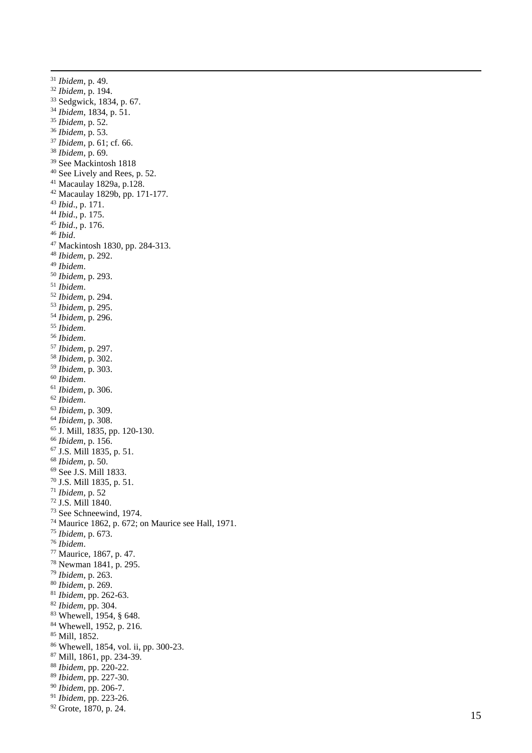*Ibidem*, p. 49. *Ibidem*, p. 194. Sedgwick, 1834, p. 67. *Ibidem*, 1834, p. 51. *Ibidem*, p. 52. *Ibidem*, p. 53. *Ibidem*, p. 61; cf. 66. *Ibidem*, p. 69. See Mackintosh 1818 See Lively and Rees, p. 52. Macaulay 1829a, p.128. Macaulay 1829b, pp. 171 -177. *Ibid*., p. 171. *Ibid*., p. 175. *Ibid*., p. 176. *Ibid* . <sup>47</sup> Mackintosh 1830, pp. 284-313. *Ibidem*, p. 292. *Ibidem* . *Ibidem*, p. 293. *Ibidem* . *Ibidem*, p. 294. *Ibidem*, p. 295. *Ibidem*, p. 296. *Ibidem* . *Ibidem* . *Ibidem*, p. 297. *Ibidem*, p. 302. *Ibidem*, p. 303. *Ibidem* . *Ibidem*, p. 306. *Ibidem* . *Ibidem*, p. 309. *Ibidem*, p. 308. J. Mill, 1835, pp. 120 -130. *Ibidem*, p. 156. J.S. Mill 1835, p. 51. *Ibidem* , p. 50. See J.S. Mill 1833. J.S. Mill 1835, p. 51. *Ibidem*, p. 52 J.S. Mill 1840. See Schneewind, 1974. Maurice 1862, p. 672; on Maurice see Hall, 1971. *Ibidem*, p. 673. *Ibidem* . Maurice, 1867, p. 47. Newman 1841, p. 295. *Ibidem*, p. 263. *Ibidem*, p. 269. *Ibidem*, pp. 262 -63. *Ibidem*, pp. 304. Whewell, 1954, § 648. Whewell, 1952, p. 216. Mill, 1852. Whewell, 1854, vol. ii, pp. 300 -23. Mill, 1861, pp. 234 -39. *Ibidem*, pp. 220 -22. *Ibidem*, pp. 227 -30. *Ibidem*, pp. 206 -7. *Ibidem*, pp. 223 -26.

Grote, 1870, p. 24.